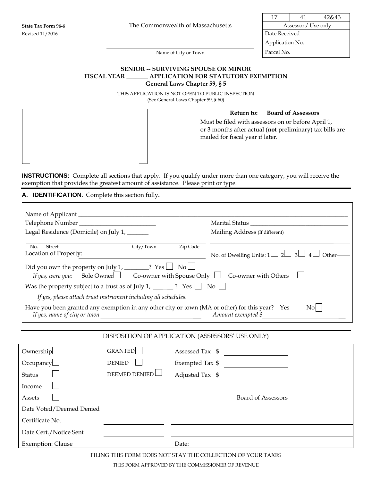17 | 41 | 42&43

Application No.

Name of City or Town Parcel No.

## **SENIOR -- SURVIVING SPOUSE OR MINOR FISCAL YEAR \_\_\_\_\_\_\_ APPLICATION FOR STATUTORY EXEMPTION General Laws Chapter 59, § 5**

THIS APPLICATION IS NOT OPEN TO PUBLIC INSPECTION (See General Laws Chapter 59, § 60)

**Return to: Board of Assessors**

Must be filed with assessors on or before April 1, or 3 months after actual (**not** preliminary) tax bills are mailed for fiscal year if later.

**INSTRUCTIONS:** Complete all sections that apply. If you qualify under more than one category, you will receive the exemption that provides the greatest amount of assistance. Please print or type.

**A. IDENTIFICATION.** Complete this section fully**.** 

| Legal Residence (Domicile) on July 1, ______                                            |                                                                                                                                   | Mailing Address (If different)                                                                                                             |
|-----------------------------------------------------------------------------------------|-----------------------------------------------------------------------------------------------------------------------------------|--------------------------------------------------------------------------------------------------------------------------------------------|
| No.<br>Street<br>Location of Property:                                                  | City/Town<br><u> 1980 - Johann Barn, mars eta bainar eta bainar eta baina eta baina eta baina eta baina eta baina eta baina e</u> | Zip Code<br>No. of Dwelling Units: $1 \Box 2 \Box 3 \Box 4$<br>Other-                                                                      |
| Did you own the property on July 1, ________? Yes $\Box$ No $\Box$<br>If yes, were you: |                                                                                                                                   | Sole Owner $\Box$ Co-owner with Spouse Only $\Box$ Co-owner with Others                                                                    |
| Was the property subject to a trust as of July 1, $\qquad$ ? Yes $\Box$ No $\Box$       |                                                                                                                                   |                                                                                                                                            |
| If yes, please attach trust instrument including all schedules.                         |                                                                                                                                   |                                                                                                                                            |
|                                                                                         |                                                                                                                                   | Have you been granted any exemption in any other city or town (MA or other) for this year? Yes<br>$\overline{N_{0}}$<br>Amount exempted \$ |
|                                                                                         |                                                                                                                                   |                                                                                                                                            |
|                                                                                         |                                                                                                                                   | DISPOSITION OF APPLICATION (ASSESSORS' USE ONLY)                                                                                           |
| Ownership                                                                               | <b>GRANTED</b>                                                                                                                    | Assessed Tax \$                                                                                                                            |
| Occupancy                                                                               | <b>DENIED</b>                                                                                                                     | Exempted Tax \$                                                                                                                            |
| <b>Status</b>                                                                           | <b>DEEMED DENIED</b>                                                                                                              | Adjusted Tax \$                                                                                                                            |
| Income                                                                                  |                                                                                                                                   |                                                                                                                                            |
| Assets                                                                                  |                                                                                                                                   | <b>Board of Assessors</b>                                                                                                                  |
| Date Voted/Deemed Denied                                                                |                                                                                                                                   |                                                                                                                                            |
| Certificate No.                                                                         |                                                                                                                                   |                                                                                                                                            |
| Date Cert./Notice Sent                                                                  |                                                                                                                                   |                                                                                                                                            |
| <b>Exemption: Clause</b>                                                                |                                                                                                                                   | Date:                                                                                                                                      |

FILING THIS FORM DOES NOT STAY THE COLLECTION OF YOUR TAXES

THIS FORM APPROVED BY THE COMMISSIONER OF REVENUE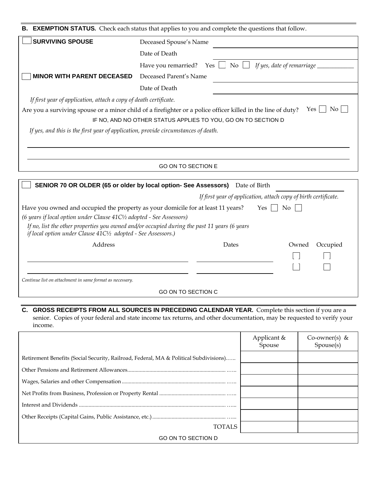| <b>B. EXEMPTION STATUS.</b> Check each status that applies to you and complete the questions that follow.                                   |                                                                                    |  |
|---------------------------------------------------------------------------------------------------------------------------------------------|------------------------------------------------------------------------------------|--|
| <b>SURVIVING SPOUSE</b>                                                                                                                     | Deceased Spouse's Name                                                             |  |
|                                                                                                                                             | Date of Death                                                                      |  |
|                                                                                                                                             | $\overline{\text{No}}$<br>If yes, date of remarriage<br>Have you remarried?<br>Yes |  |
| <b>MINOR WITH PARENT DECEASED</b>                                                                                                           | Deceased Parent's Name                                                             |  |
|                                                                                                                                             | Date of Death                                                                      |  |
| If first year of application, attach a copy of death certificate.                                                                           |                                                                                    |  |
| $\overline{N_{0}}$<br>Yes  <br>Are you a surviving spouse or a minor child of a firefighter or a police officer killed in the line of duty? |                                                                                    |  |
|                                                                                                                                             | IF NO, AND NO OTHER STATUS APPLIES TO YOU, GO ON TO SECTION D                      |  |
| If yes, and this is the first year of application, provide circumstances of death.                                                          |                                                                                    |  |
|                                                                                                                                             |                                                                                    |  |
|                                                                                                                                             |                                                                                    |  |
| <b>GO ON TO SECTION E</b>                                                                                                                   |                                                                                    |  |
|                                                                                                                                             |                                                                                    |  |

|                                                                                              |       | If first year of application, attach copy of birth certificate.<br>No. |
|----------------------------------------------------------------------------------------------|-------|------------------------------------------------------------------------|
| Have you owned and occupied the property as your domicile for at least 11 years?             |       | Yes                                                                    |
| (6 years if local option under Clause $41C\frac{1}{2}$ adopted - See Assessors)              |       |                                                                        |
| If no, list the other properties you owned and/or occupied during the past 11 years (6 years |       |                                                                        |
| if local option under Clause 41C1/2 adopted - See Assessors.)                                |       |                                                                        |
| Address                                                                                      | Dates | Occupied<br>Owned                                                      |
|                                                                                              |       |                                                                        |
|                                                                                              |       |                                                                        |

**C. GROSS RECEIPTS FROM ALL SOURCES IN PRECEDING CALENDAR YEAR.** Complete this section if you are a senior. Copies of your federal and state income tax returns, and other documentation, may be requested to verify your income.

|                                                                                       | Applicant &<br>Spouse | Co-owner(s) &<br>Spouse(s) |
|---------------------------------------------------------------------------------------|-----------------------|----------------------------|
|                                                                                       |                       |                            |
| Retirement Benefits (Social Security, Railroad, Federal, MA & Political Subdivisions) |                       |                            |
|                                                                                       |                       |                            |
|                                                                                       |                       |                            |
|                                                                                       |                       |                            |
|                                                                                       |                       |                            |
|                                                                                       |                       |                            |
| TOTAL S                                                                               |                       |                            |
| <b>GO ON TO SECTION D</b>                                                             |                       |                            |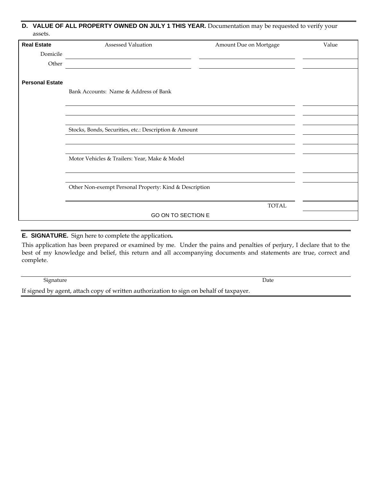| assets.                | D. VALUE OF ALL PROPERTY OWNED ON JULY 1 THIS YEAR. Documentation may be requested to verify your |                        |       |
|------------------------|---------------------------------------------------------------------------------------------------|------------------------|-------|
| <b>Real Estate</b>     | <b>Assessed Valuation</b>                                                                         | Amount Due on Mortgage | Value |
| Domicile               |                                                                                                   |                        |       |
| Other                  |                                                                                                   |                        |       |
| <b>Personal Estate</b> |                                                                                                   |                        |       |
|                        | Bank Accounts: Name & Address of Bank                                                             |                        |       |
|                        |                                                                                                   |                        |       |
|                        |                                                                                                   |                        |       |
|                        | Stocks, Bonds, Securities, etc.: Description & Amount                                             |                        |       |
|                        |                                                                                                   |                        |       |
|                        | Motor Vehicles & Trailers: Year, Make & Model                                                     |                        |       |
|                        |                                                                                                   |                        |       |
|                        | Other Non-exempt Personal Property: Kind & Description                                            |                        |       |
|                        |                                                                                                   | <b>TOTAL</b>           |       |
|                        | GO ON TO SECTION E                                                                                |                        |       |

## **E. SIGNATURE.** Sign here to complete the application**.**

This application has been prepared or examined by me. Under the pains and penalties of perjury, I declare that to the best of my knowledge and belief, this return and all accompanying documents and statements are true, correct and complete.

| Signature                                                                               | Date |
|-----------------------------------------------------------------------------------------|------|
| If signed by agent, attach copy of written authorization to sign on behalf of taxpayer. |      |